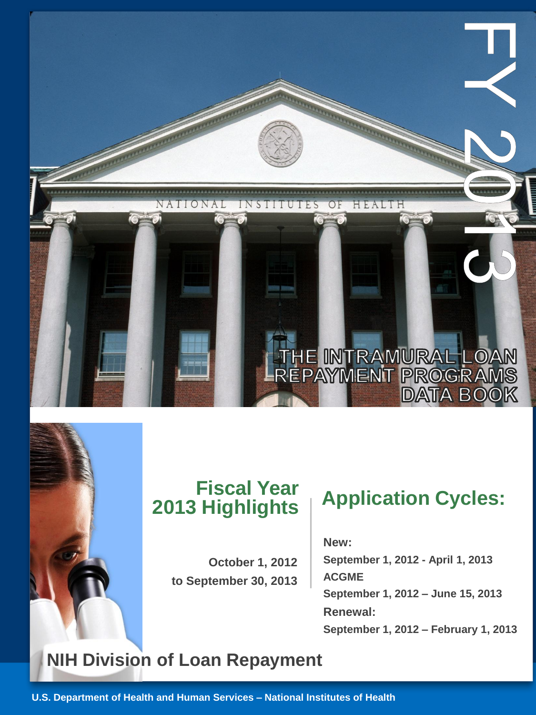

## **Fiscal Year 2013 Highlights**

**October 1, 2012 to September 30, 2013**

# **Application Cycles:**

### **New :**

**September 1, 2012 - April 1, 2013 ACGME September 1, 2012 – June 15, 2013 Renewal: September 1, 2012 – February 1, 2013**

## **NIH Division of Loan Repayment**

**U.S. Department of Health and Human Services – National Institutes of Health**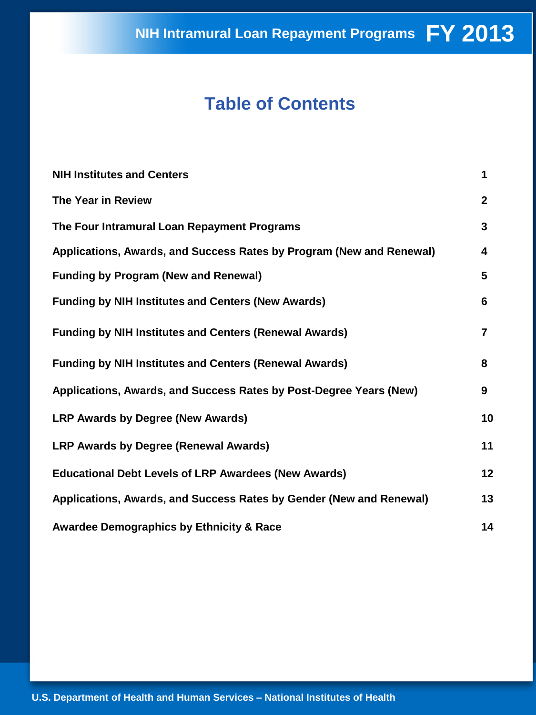## **Table of Contents**

| <b>NIH Institutes and Centers</b>                                    | 1              |
|----------------------------------------------------------------------|----------------|
| The Year in Review                                                   | $\mathbf{2}$   |
| The Four Intramural Loan Repayment Programs                          | 3              |
| Applications, Awards, and Success Rates by Program (New and Renewal) | 4              |
| <b>Funding by Program (New and Renewal)</b>                          | 5              |
| <b>Funding by NIH Institutes and Centers (New Awards)</b>            | 6              |
| <b>Funding by NIH Institutes and Centers (Renewal Awards)</b>        | $\overline{7}$ |
| <b>Funding by NIH Institutes and Centers (Renewal Awards)</b>        | 8              |
| Applications, Awards, and Success Rates by Post-Degree Years (New)   | 9              |
| <b>LRP Awards by Degree (New Awards)</b>                             | 10             |
| <b>LRP Awards by Degree (Renewal Awards)</b>                         | 11             |
| <b>Educational Debt Levels of LRP Awardees (New Awards)</b>          | 12             |
| Applications, Awards, and Success Rates by Gender (New and Renewal)  | 13             |
| <b>Awardee Demographics by Ethnicity &amp; Race</b>                  | 14             |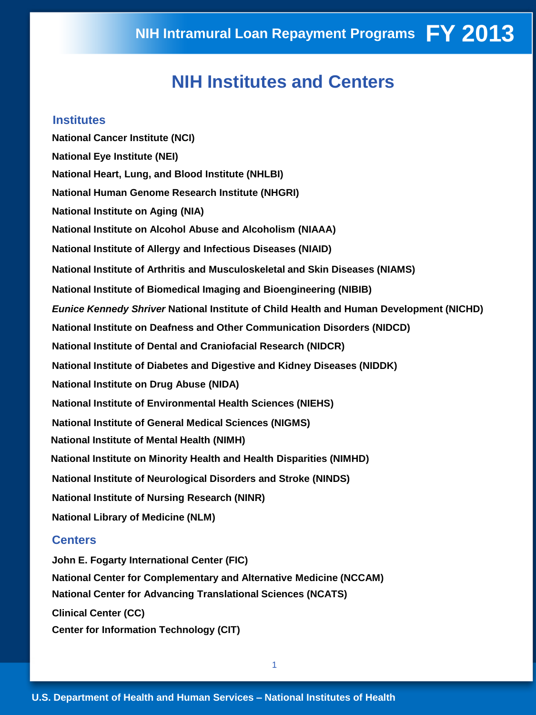## **NIH Institutes and Centers**

#### **Institutes**

**National Cancer Institute (NCI) National Eye Institute (NEI) National Heart, Lung, and Blood Institute (NHLBI) National Human Genome Research Institute (NHGRI) National Institute on Aging (NIA) National Institute on Alcohol Abuse and Alcoholism (NIAAA) National Institute of Allergy and Infectious Diseases (NIAID) National Institute of Arthritis and Musculoskeletal and Skin Diseases (NIAMS) National Institute of Biomedical Imaging and Bioengineering (NIBIB)**  *Eunice Kennedy Shriver* **National Institute of Child Health and Human Development (NICHD) National Institute on Deafness and Other Communication Disorders (NIDCD) National Institute of Dental and Craniofacial Research (NIDCR) National Institute of Diabetes and Digestive and Kidney Diseases (NIDDK) National Institute on Drug Abuse (NIDA) National Institute of Environmental Health Sciences (NIEHS) National Institute of General Medical Sciences (NIGMS) National Institute of Mental Health (NIMH) National Institute on Minority Health and Health Disparities (NIMHD) National Institute of Neurological Disorders and Stroke (NINDS) National Institute of Nursing Research (NINR) National Library of Medicine (NLM)** 

#### **Centers**

**John E. Fogarty International Center (FIC) National Center for Complementary and Alternative Medicine (NCCAM) National Center for Advancing Translational Sciences (NCATS) Clinical Center (CC) Center for Information Technology (CIT)**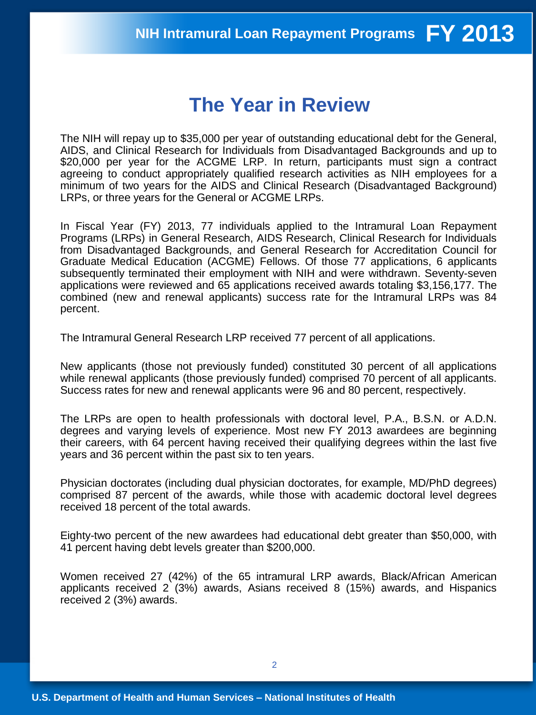## **The Year in Review**

The NIH will repay up to \$35,000 per year of outstanding educational debt for the General, AIDS, and Clinical Research for Individuals from Disadvantaged Backgrounds and up to \$20,000 per year for the ACGME LRP. In return, participants must sign a contract agreeing to conduct appropriately qualified research activities as NIH employees for a minimum of two years for the AIDS and Clinical Research (Disadvantaged Background) LRPs, or three years for the General or ACGME LRPs.

In Fiscal Year (FY) 2013, 77 individuals applied to the Intramural Loan Repayment Programs (LRPs) in General Research, AIDS Research, Clinical Research for Individuals from Disadvantaged Backgrounds, and General Research for Accreditation Council for Graduate Medical Education (ACGME) Fellows. Of those 77 applications, 6 applicants subsequently terminated their employment with NIH and were withdrawn. Seventy-seven applications were reviewed and 65 applications received awards totaling \$3,156,177. The combined (new and renewal applicants) success rate for the Intramural LRPs was 84 percent.

The Intramural General Research LRP received 77 percent of all applications.

New applicants (those not previously funded) constituted 30 percent of all applications while renewal applicants (those previously funded) comprised 70 percent of all applicants. Success rates for new and renewal applicants were 96 and 80 percent, respectively.

The LRPs are open to health professionals with doctoral level, P.A., B.S.N. or A.D.N. degrees and varying levels of experience. Most new FY 2013 awardees are beginning their careers, with 64 percent having received their qualifying degrees within the last five years and 36 percent within the past six to ten years.

Physician doctorates (including dual physician doctorates, for example, MD/PhD degrees) comprised 87 percent of the awards, while those with academic doctoral level degrees received 18 percent of the total awards.

Eighty-two percent of the new awardees had educational debt greater than \$50,000, with 41 percent having debt levels greater than \$200,000.

Women received 27 (42%) of the 65 intramural LRP awards, Black/African American applicants received 2 (3%) awards, Asians received 8 (15%) awards, and Hispanics received 2 (3%) awards.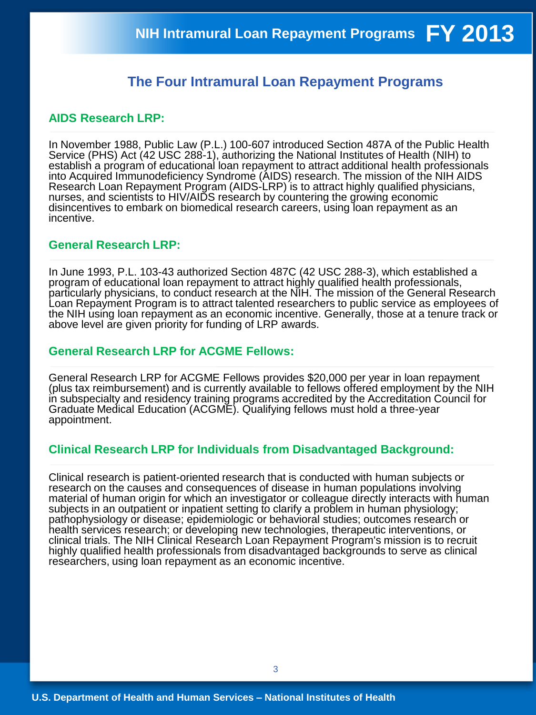### **The Four Intramural Loan Repayment Programs**

#### **AIDS Research LRP:**

In November 1988, Public Law (P.L.) 100-607 introduced Section 487A of the Public Health Service (PHS) Act (42 USC 288-1), authorizing the National Institutes of Health (NIH) to establish a program of educational loan repayment to attract additional health professionals into Acquired Immunodeficiency Syndrome (AIDS) research. The mission of the NIH AIDS Research Loan Repayment Program (AIDS-LRP) is to attract highly qualified physicians, nurses, and scientists to HIV/AIDS research by countering the growing economic disincentives to embark on biomedical research careers, using loan repayment as an incentive.

#### **General Research LRP:**

In June 1993, P.L. 103-43 authorized Section 487C (42 USC 288-3), which established a program of educational loan repayment to attract highly qualified health professionals, particularly physicians, to conduct research at the NIH. The mission of the General Research Loan Repayment Program is to attract talented researchers to public service as employees of the NIH using loan repayment as an economic incentive. Generally, those at a tenure track or above level are given priority for funding of LRP awards.

#### **General Research LRP for ACGME Fellows:**

General Research LRP for ACGME Fellows provides \$20,000 per year in loan repayment (plus tax reimbursement) and is currently available to fellows offered employment by the NIH in subspecialty and residency training programs accredited by the Accreditation Council for Graduate Medical Education (ACGME). Qualifying fellows must hold a three-year appointment.

#### **Clinical Research LRP for Individuals from Disadvantaged Background:**

Clinical research is patient-oriented research that is conducted with human subjects or research on the causes and consequences of disease in human populations involving material of human origin for which an investigator or colleague directly interacts with human subjects in an outpatient or inpatient setting to clarify a problem in human physiology; pathophysiology or disease; epidemiologic or behavioral studies; outcomes research or health services research; or developing new technologies, therapeutic interventions, or clinical trials. The NIH Clinical Research Loan Repayment Program's mission is to recruit highly qualified health professionals from disadvantaged backgrounds to serve as clinical researchers, using loan repayment as an economic incentive.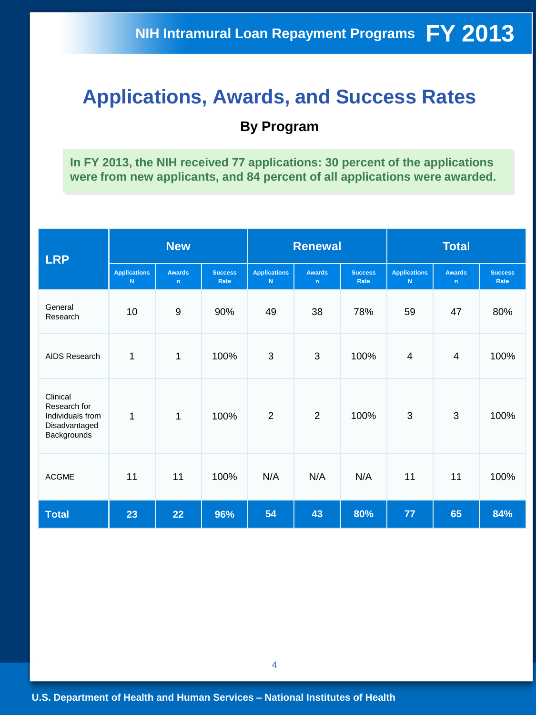## **Applications, Awards, and Success Rates**

### **By Program**

**In FY 2013, the NIH received 77 applications: 30 percent of the applications were from new applicants, and 84 percent of all applications were awarded.** 

| <b>LRP</b>                                                                   |                           | <b>New</b>         |                        | <b>Renewal</b>                     |                    |                        | <b>Total</b>             |                              |                        |
|------------------------------------------------------------------------------|---------------------------|--------------------|------------------------|------------------------------------|--------------------|------------------------|--------------------------|------------------------------|------------------------|
|                                                                              | <b>Applications</b><br>N. | <b>Awards</b><br>n | <b>Success</b><br>Rate | <b>Applications</b><br>$\mathbf N$ | <b>Awards</b><br>n | <b>Success</b><br>Rate | <b>Applications</b><br>N | <b>Awards</b><br>$\mathbf n$ | <b>Success</b><br>Rate |
| General<br>Research                                                          | 10                        | $\boldsymbol{9}$   | 90%                    | 49                                 | 38                 | 78%                    | 59                       | 47                           | 80%                    |
| <b>AIDS Research</b>                                                         | 1                         | $\mathbf{1}$       | 100%                   | 3                                  | 3                  | 100%                   | 4                        | $\overline{\mathbf{4}}$      | 100%                   |
| Clinical<br>Research for<br>Individuals from<br>Disadvantaged<br>Backgrounds | 1                         | $\mathbf{1}$       | 100%                   | $\overline{2}$                     | $\overline{2}$     | 100%                   | 3                        | 3                            | 100%                   |
| <b>ACGME</b>                                                                 | 11                        | 11                 | 100%                   | N/A                                | N/A                | N/A                    | 11                       | 11                           | 100%                   |
| <b>Total</b>                                                                 | 23                        | 22                 | 96%                    | 54                                 | 43                 | 80%                    | 77                       | 65                           | 84%                    |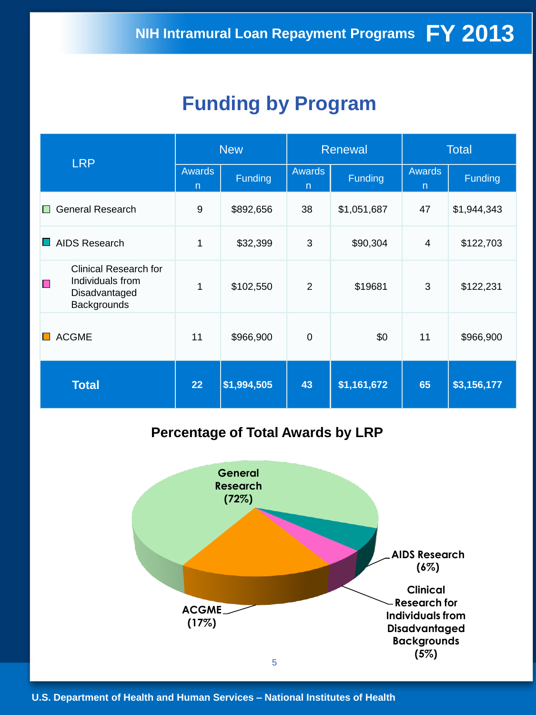## **Funding by Program**

| <b>LRP</b>                                                                                                      | <b>New</b>         |             |                    | <b>Renewal</b> | <b>Total</b>                  |             |  |
|-----------------------------------------------------------------------------------------------------------------|--------------------|-------------|--------------------|----------------|-------------------------------|-------------|--|
|                                                                                                                 | <b>Awards</b><br>n | Funding     | <b>Awards</b><br>n | Funding        | <b>Awards</b><br>$\mathsf{n}$ | Funding     |  |
| General Research<br>$\mathsf{L}$                                                                                | 9                  | \$892,656   | 38                 | \$1,051,687    | 47                            | \$1,944,343 |  |
| AIDS Research                                                                                                   | 1                  | \$32,399    | 3                  | \$90,304       | 4                             | \$122,703   |  |
| <b>Clinical Research for</b><br>Individuals from<br>$\mathcal{L}_{\mathcal{A}}$<br>Disadvantaged<br>Backgrounds | 1                  | \$102,550   | $\overline{2}$     | \$19681        | 3                             | \$122,231   |  |
| <b>ACGME</b>                                                                                                    | 11                 | \$966,900   | 0                  | \$0            | 11                            | \$966,900   |  |
| <b>Total</b>                                                                                                    | 22                 | \$1,994,505 | 43                 | \$1,161,672    | 65                            | \$3,156,177 |  |

### **Percentage of Total Awards by LRP**

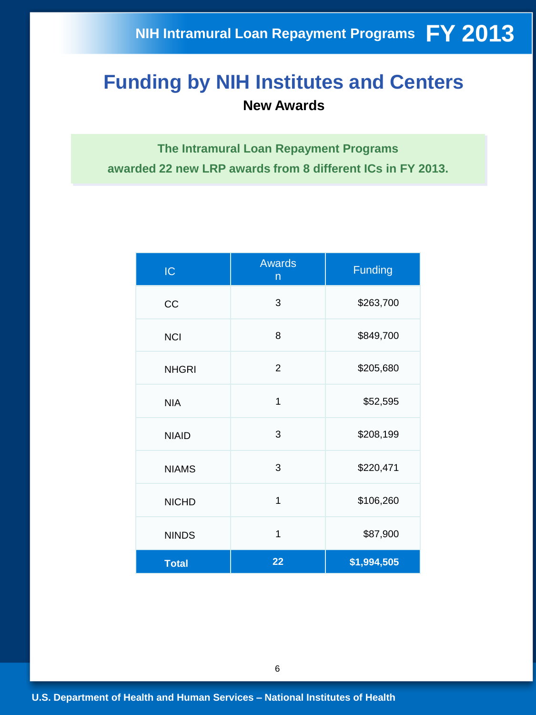## **Funding by NIH Institutes and Centers New Awards**

**The Intramural Loan Repayment Programs awarded 22 new LRP awards from 8 different ICs in FY 2013.**

| IC           | <b>Awards</b><br>$\mathsf{n}$ | <b>Funding</b> |
|--------------|-------------------------------|----------------|
| CC           | 3                             | \$263,700      |
| <b>NCI</b>   | 8                             | \$849,700      |
| <b>NHGRI</b> | $\overline{2}$                | \$205,680      |
| <b>NIA</b>   | 1                             | \$52,595       |
| <b>NIAID</b> | 3                             | \$208,199      |
| <b>NIAMS</b> | 3                             | \$220,471      |
| <b>NICHD</b> | $\overline{1}$                | \$106,260      |
| <b>NINDS</b> | 1                             | \$87,900       |
| <b>Total</b> | 22                            | \$1,994,505    |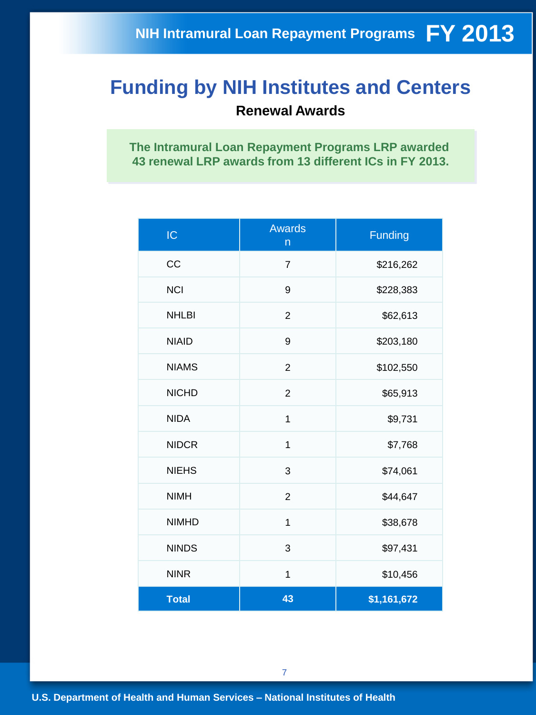## **Funding by NIH Institutes and Centers Renewal Awards**

**The Intramural Loan Repayment Programs LRP awarded 43 renewal LRP awards from 13 different ICs in FY 2013.**

| IC           | <b>Awards</b><br>$\mathsf{n}$ | <b>Funding</b> |
|--------------|-------------------------------|----------------|
| CC           | $\overline{7}$                | \$216,262      |
| <b>NCI</b>   | 9                             | \$228,383      |
| <b>NHLBI</b> | $\overline{2}$                | \$62,613       |
| <b>NIAID</b> | 9                             | \$203,180      |
| <b>NIAMS</b> | $\overline{2}$                | \$102,550      |
| <b>NICHD</b> | $\overline{2}$                | \$65,913       |
| <b>NIDA</b>  | $\mathbf{1}$                  | \$9,731        |
| <b>NIDCR</b> | 1                             | \$7,768        |
| <b>NIEHS</b> | 3                             | \$74,061       |
| <b>NIMH</b>  | $\overline{2}$                | \$44,647       |
| <b>NIMHD</b> | $\overline{1}$                | \$38,678       |
| <b>NINDS</b> | 3                             | \$97,431       |
| <b>NINR</b>  | $\mathbf{1}$                  | \$10,456       |
| <b>Total</b> | 43                            | \$1,161,672    |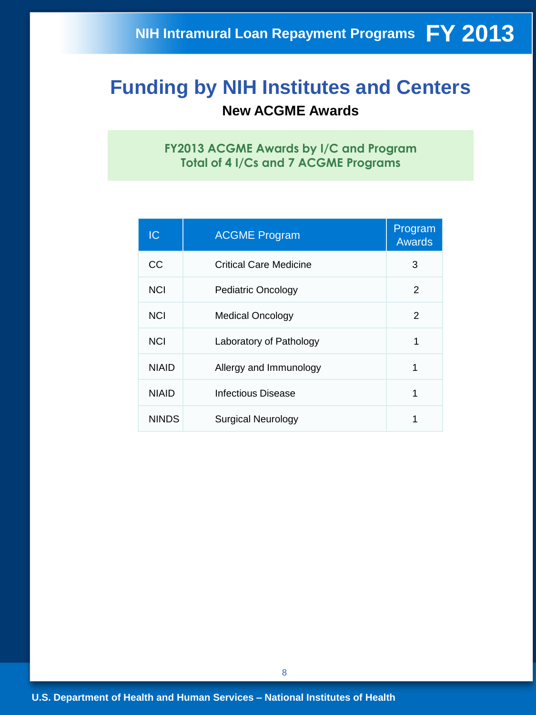## **Funding by NIH Institutes and Centers New ACGME Awards**

**FY2013 ACGME Awards by I/C and Program Total of 4 I/Cs and 7 ACGME Programs** 

| IC           | <b>ACGME Program</b>      | Program<br><b>Awards</b> |
|--------------|---------------------------|--------------------------|
| CС           | Critical Care Medicine    | 3                        |
| <b>NCI</b>   | <b>Pediatric Oncology</b> | 2                        |
| <b>NCI</b>   | <b>Medical Oncology</b>   | 2                        |
| <b>NCI</b>   | Laboratory of Pathology   | 1                        |
| <b>NIAID</b> | Allergy and Immunology    | 1                        |
| <b>NIAID</b> | Infectious Disease        | 1                        |
| <b>NINDS</b> | Surgical Neurology        |                          |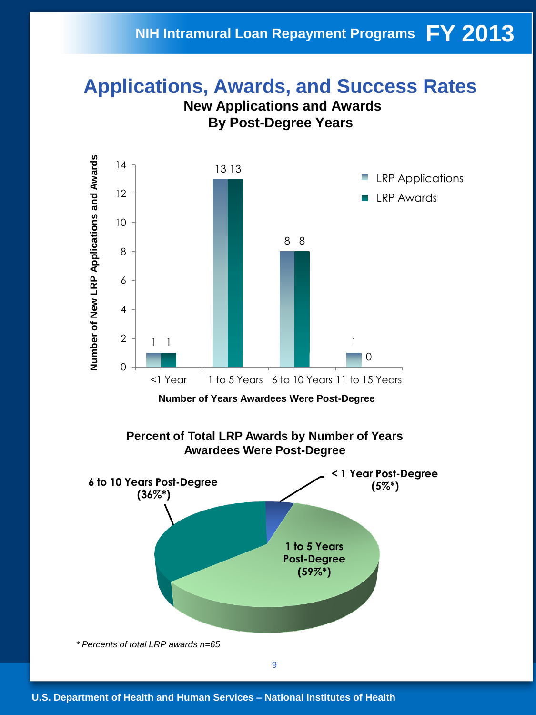### **Applications, Awards, and Success Rates New Applications and Awards**



*\* Percents of total LRP awards n=65* 

9

**(59%\*)**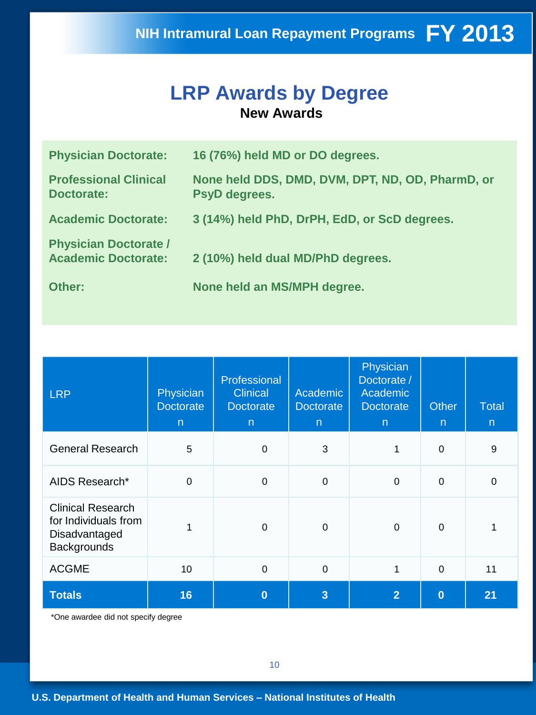## **LRP Awards by Degree New Awards**

| <b>Physician Doctorate:</b>                                | 16 (76%) held MD or DO degrees.                                   |
|------------------------------------------------------------|-------------------------------------------------------------------|
| <b>Professional Clinical</b><br>Doctorate:                 | None held DDS, DMD, DVM, DPT, ND, OD, PharmD, or<br>PsyD degrees. |
| <b>Academic Doctorate:</b>                                 | 3 (14%) held PhD, DrPH, EdD, or ScD degrees.                      |
| <b>Physician Doctorate /</b><br><b>Academic Doctorate:</b> | 2 (10%) held dual MD/PhD degrees.                                 |
| Other:                                                     | None held an MS/MPH degree.                                       |

| <b>LRP</b>                                                                       | Physician<br><b>Doctorate</b><br>$\mathsf{n}$ | Professional<br><b>Clinical</b><br><b>Doctorate</b><br>$\mathsf{n}$ | Academic<br>Doctorate<br>$\mathsf{n}$ | Physician<br>Doctorate /<br>Academic<br><b>Doctorate</b><br>n | <b>Other</b><br>$\overline{n}$ | <b>Total</b><br>n |
|----------------------------------------------------------------------------------|-----------------------------------------------|---------------------------------------------------------------------|---------------------------------------|---------------------------------------------------------------|--------------------------------|-------------------|
| <b>General Research</b>                                                          | 5                                             | $\mathbf 0$                                                         | 3                                     | 1                                                             | $\mathbf 0$                    | 9                 |
| AIDS Research*                                                                   | $\mathbf 0$                                   | $\mathbf 0$                                                         | $\boldsymbol{0}$                      | $\mathbf 0$                                                   | $\mathbf 0$                    | $\Omega$          |
| <b>Clinical Research</b><br>for Individuals from<br>Disadvantaged<br>Backgrounds | 1                                             | $\Omega$                                                            | $\pmb{0}$                             | $\mathbf 0$                                                   | $\mathbf 0$                    |                   |
| <b>ACGME</b>                                                                     | 10                                            | $\boldsymbol{0}$                                                    | $\pmb{0}$                             | 1                                                             | $\mathbf 0$                    | 11                |
| <b>Totals</b>                                                                    | 16                                            | $\bf{0}$                                                            | 3                                     | $\overline{2}$                                                | $\bf{0}$                       | 21                |

\*One awardee did not specify degree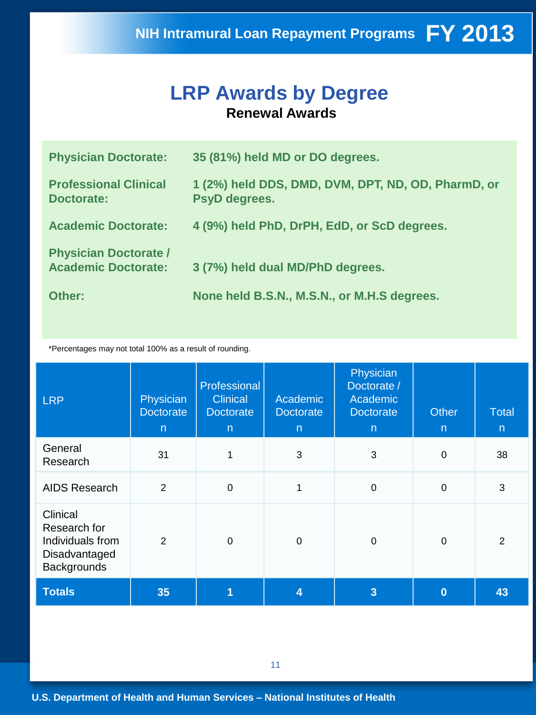## **LRP Awards by Degree Renewal Awards**

| <b>Physician Doctorate:</b>                                | 35 (81%) held MD or DO degrees.                                     |
|------------------------------------------------------------|---------------------------------------------------------------------|
| <b>Professional Clinical</b><br><b>Doctorate:</b>          | 1 (2%) held DDS, DMD, DVM, DPT, ND, OD, PharmD, or<br>PsyD degrees. |
| <b>Academic Doctorate:</b>                                 | 4 (9%) held PhD, DrPH, EdD, or ScD degrees.                         |
| <b>Physician Doctorate /</b><br><b>Academic Doctorate:</b> | 3 (7%) held dual MD/PhD degrees.                                    |
| Other:                                                     | None held B.S.N., M.S.N., or M.H.S degrees.                         |

\*Percentages may not total 100% as a result of rounding.

| <b>LRP</b>                                                                          | Physician<br><b>Doctorate</b><br>$\overline{n}$ | Professional<br><b>Clinical</b><br><b>Doctorate</b><br>$\overline{n}$ | Academic<br><b>Doctorate</b><br>$\mathsf{n}$ | Physician<br>Doctorate /<br>Academic<br><b>Doctorate</b><br>$\overline{n}$ | Other<br>$\mathsf{n}$ | <b>Total</b><br>$\mathsf{n}$ |
|-------------------------------------------------------------------------------------|-------------------------------------------------|-----------------------------------------------------------------------|----------------------------------------------|----------------------------------------------------------------------------|-----------------------|------------------------------|
| General<br>Research                                                                 | 31                                              | 1                                                                     | 3                                            | 3                                                                          | $\mathbf 0$           | 38                           |
| <b>AIDS Research</b>                                                                | $\overline{2}$                                  | $\mathbf 0$                                                           | 1                                            | $\Omega$                                                                   | $\mathbf 0$           | 3                            |
| Clinical<br>Research for<br>Individuals from<br>Disadvantaged<br><b>Backgrounds</b> | $\overline{2}$                                  | $\Omega$                                                              | 0                                            | $\Omega$                                                                   | 0                     | 2                            |
| <b>Totals</b>                                                                       | 35                                              |                                                                       | 4                                            | $\overline{3}$                                                             | $\bf{0}$              | 43                           |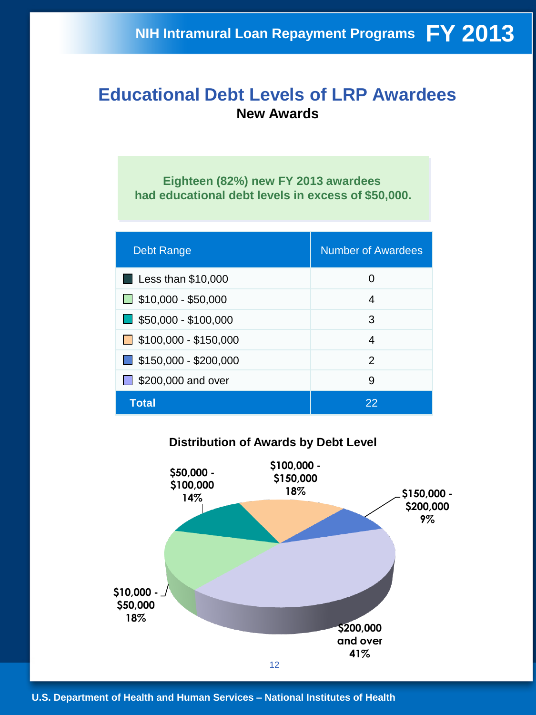### **Educational Debt Levels of LRP Awardees New Awards**

**Eighteen (82%) new FY 2013 awardees had educational debt levels in excess of \$50,000.** 

| <b>Debt Range</b>                    | <b>Number of Awardees</b> |
|--------------------------------------|---------------------------|
| $\blacksquare$ Less than \$10,000    | 0                         |
| $\Box$ \$10,000 - \$50,000           | 4                         |
| $\blacksquare$ \$50,000 - \$100,000  | 3                         |
| $\Box$ \$100,000 - \$150,000         | 4                         |
| $\blacksquare$ \$150,000 - \$200,000 | $\mathcal{P}$             |
| \$200,000 and over                   | 9                         |
| Total                                | 22                        |

### **Distribution of Awards by Debt Level**

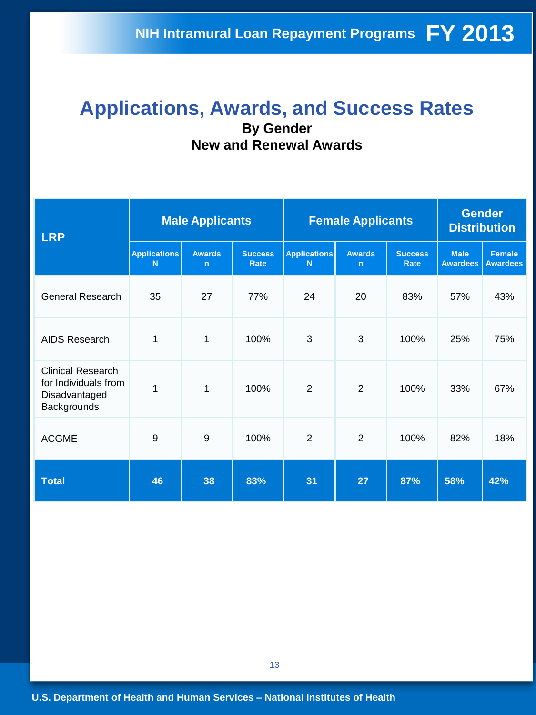## **Applications, Awards, and Success Rates By Gender New and Renewal Awards**

| <b>LRP</b>                                                                       |                          | <b>Male Applicants</b>        |                               | <b>Female Applicants</b> | <b>Gender</b><br><b>Distribution</b> |                        |                                |                                  |
|----------------------------------------------------------------------------------|--------------------------|-------------------------------|-------------------------------|--------------------------|--------------------------------------|------------------------|--------------------------------|----------------------------------|
|                                                                                  | <b>Applications</b><br>N | <b>Awards</b><br>$\mathsf{n}$ | <b>Success</b><br><b>Rate</b> | <b>Applications</b><br>N | <b>Awards</b><br>$\mathbf n$         | <b>Success</b><br>Rate | <b>Male</b><br><b>Awardees</b> | <b>Female</b><br><b>Awardees</b> |
| <b>General Research</b>                                                          | 35                       | 27                            | 77%                           | 24                       | 20                                   | 83%                    | 57%                            | 43%                              |
| <b>AIDS Research</b>                                                             | 1                        | 1                             | 100%                          | 3                        | 3                                    | 100%                   | 25%                            | 75%                              |
| <b>Clinical Research</b><br>for Individuals from<br>Disadvantaged<br>Backgrounds | 1                        | 1                             | 100%                          | $\overline{2}$           | 2                                    | 100%                   | 33%                            | 67%                              |
| <b>ACGME</b>                                                                     | 9                        | 9                             | 100%                          | $\overline{2}$           | $\overline{2}$                       | 100%                   | 82%                            | 18%                              |
| <b>Total</b>                                                                     | 46                       | 38                            | 83%                           | 31                       | 27                                   | 87%                    | 58%                            | 42%                              |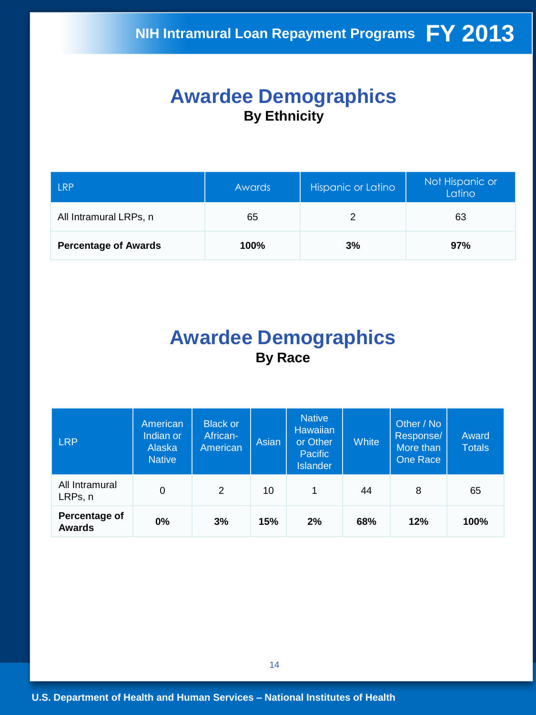## **Awardee Demographics By Ethnicity**

| <b>LRP</b>                  | <b>Awards</b> | Hispanic or Latino | Not Hispanic or<br>Latino |  |
|-----------------------------|---------------|--------------------|---------------------------|--|
| All Intramural LRPs, n      | 65            |                    | 63                        |  |
| <b>Percentage of Awards</b> | 100%          | 3%                 | 97%                       |  |

## **Awardee Demographics By Race**

| <b>LRP</b>                     | American<br>Indian or<br>Alaska<br><b>Native</b> | <b>Black or</b><br>African-<br>American | Asian | <b>Native</b><br><b>Hawaiian</b><br>or Other<br><b>Pacific</b><br><b>Islander</b> | White | Other / No<br>Response/<br>More than<br>One Race | Award<br><b>Totals</b> |
|--------------------------------|--------------------------------------------------|-----------------------------------------|-------|-----------------------------------------------------------------------------------|-------|--------------------------------------------------|------------------------|
| All Intramural<br>LRPs, n      | 0                                                | $\overline{2}$                          | 10    | $\mathbf{1}$                                                                      | 44    | 8                                                | 65                     |
| Percentage of<br><b>Awards</b> | 0%                                               | 3%                                      | 15%   | 2%                                                                                | 68%   | 12%                                              | 100%                   |